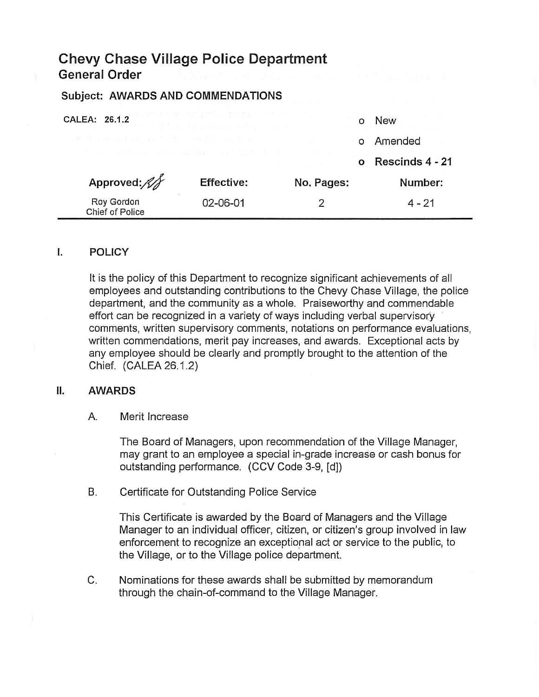# **Chevy Chase Village Police Department General Order**

## Subject: AWARDS AND COMMENDATIONS

CALEA: 26.1.2

| ALEA: 26.1.2                                        |                   |            | <b>New</b>      |
|-----------------------------------------------------|-------------------|------------|-----------------|
| IN IN LEATHER IS A MALE THAN HE ANGIOUS LEAP AT LAT |                   |            | Amended         |
| The course of demonstrating the greater             |                   |            | Rescinds 4 - 21 |
| Approved:                                           | <b>Effective:</b> | No. Pages: | Number:         |
| Roy Gordon<br>Chief of Police                       | 02-06-01          | ာ          | $4 - 21$        |

#### I. POLICY

It is the policy of this Department to recognize significant achievements of all employees and outstanding contributions to the Chevy Chase Village, the police department, and the community as a whole. Praiseworthy and commendable effort can be recognized in a variety of ways including verbal supervisory comments, written supervisory comments, notations on performance evaluations, written commendations, merit pay increases, and awards. Exceptional acts by any employee should be clearly and promptly brought to the attention of the Chief. (CALEA 26.1.2)

#### II. AWARDS

#### A. Merit Increase

The Board of Managers, upon recommendation of the Village Manager, may grant to an employee a special in-grade increase or cash bonus for outstanding performance. (CCV Code 3-9, [d])

B. Certificate for Outstanding Police Service

This Certificate is awarded by the Board of Managers and the Village Manager to an individual officer, citizen, or citizen's group involved in law enforcement to recognize an exceptional act or service to the public, to the Village, or to the Village police department.

C. Nominations for these awards shall be submitted by memorandum through the chain-of-command to the Village Manager.